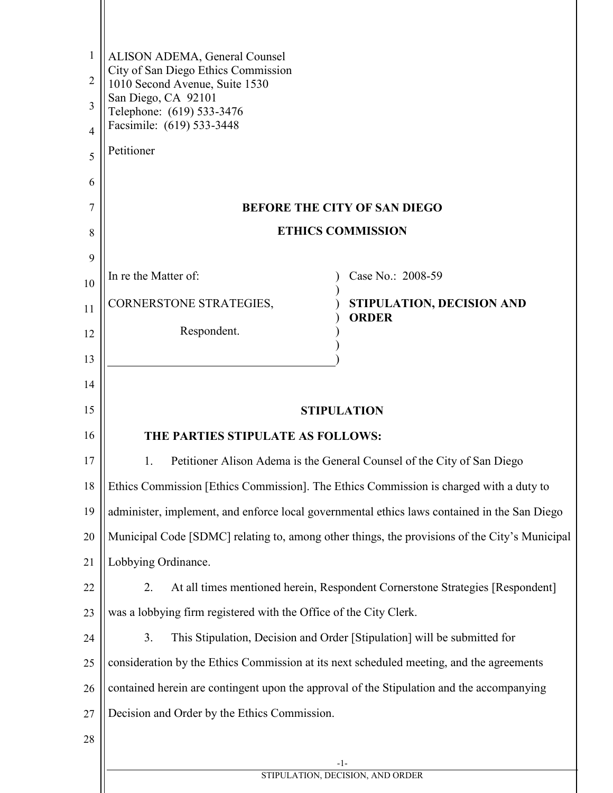| 1  | ALISON ADEMA, General Counsel                                                                 |
|----|-----------------------------------------------------------------------------------------------|
| 2  | City of San Diego Ethics Commission<br>1010 Second Avenue, Suite 1530                         |
| 3  | San Diego, CA 92101<br>Telephone: (619) 533-3476                                              |
| 4  | Facsimile: (619) 533-3448                                                                     |
| 5  | Petitioner                                                                                    |
| 6  |                                                                                               |
| 7  | <b>BEFORE THE CITY OF SAN DIEGO</b>                                                           |
| 8  | <b>ETHICS COMMISSION</b>                                                                      |
| 9  |                                                                                               |
| 10 | In re the Matter of:<br>Case No.: 2008-59                                                     |
| 11 | CORNERSTONE STRATEGIES,<br>STIPULATION, DECISION AND<br><b>ORDER</b>                          |
| 12 | Respondent.                                                                                   |
| 13 |                                                                                               |
| 14 |                                                                                               |
| 15 | <b>STIPULATION</b>                                                                            |
| 16 | THE PARTIES STIPULATE AS FOLLOWS:                                                             |
| 17 | Petitioner Alison Adema is the General Counsel of the City of San Diego<br>1.                 |
| 18 | Ethics Commission [Ethics Commission]. The Ethics Commission is charged with a duty to        |
| 19 | administer, implement, and enforce local governmental ethics laws contained in the San Diego  |
| 20 | Municipal Code [SDMC] relating to, among other things, the provisions of the City's Municipal |
| 21 | Lobbying Ordinance.                                                                           |
| 22 | At all times mentioned herein, Respondent Cornerstone Strategies [Respondent]<br>2.           |
| 23 | was a lobbying firm registered with the Office of the City Clerk.                             |
| 24 | 3.<br>This Stipulation, Decision and Order [Stipulation] will be submitted for                |
| 25 | consideration by the Ethics Commission at its next scheduled meeting, and the agreements      |
| 26 | contained herein are contingent upon the approval of the Stipulation and the accompanying     |
| 27 | Decision and Order by the Ethics Commission.                                                  |
| 28 |                                                                                               |
|    | -1-<br>STIPULATION, DECISION, AND ORDER                                                       |
|    |                                                                                               |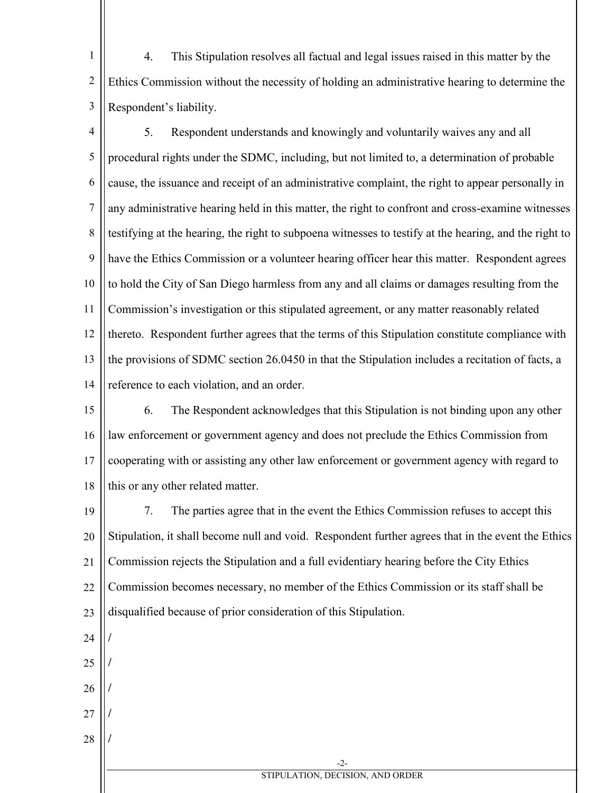1 2 3 4. This Stipulation resolves all factual and legal issues raised in this matter by the Ethics Commission without the necessity of holding an administrative hearing to determine the Respondent's liability.

4 5 6 7 8 9 10 11 12 13 14 5. Respondent understands and knowingly and voluntarily waives any and all procedural rights under the SDMC, including, but not limited to, a determination of probable cause, the issuance and receipt of an administrative complaint, the right to appear personally in any administrative hearing held in this matter, the right to confront and cross-examine witnesses testifying at the hearing, the right to subpoena witnesses to testify at the hearing, and the right to have the Ethics Commission or a volunteer hearing officer hear this matter. Respondent agrees to hold the City of San Diego harmless from any and all claims or damages resulting from the Commission's investigation or this stipulated agreement, or any matter reasonably related thereto. Respondent further agrees that the terms of this Stipulation constitute compliance with the provisions of SDMC section 26.0450 in that the Stipulation includes a recitation of facts, a reference to each violation, and an order.

15 16 17 18 6. The Respondent acknowledges that this Stipulation is not binding upon any other law enforcement or government agency and does not preclude the Ethics Commission from cooperating with or assisting any other law enforcement or government agency with regard to this or any other related matter.

19 20 21 22 23 7. The parties agree that in the event the Ethics Commission refuses to accept this Stipulation, it shall become null and void. Respondent further agrees that in the event the Ethics Commission rejects the Stipulation and a full evidentiary hearing before the City Ethics Commission becomes necessary, no member of the Ethics Commission or its staff shall be disqualified because of prior consideration of this Stipulation.

24

**/** 

**/** 

**/** 

**/** 

**/** 

- 25
- 26
- 27
- 28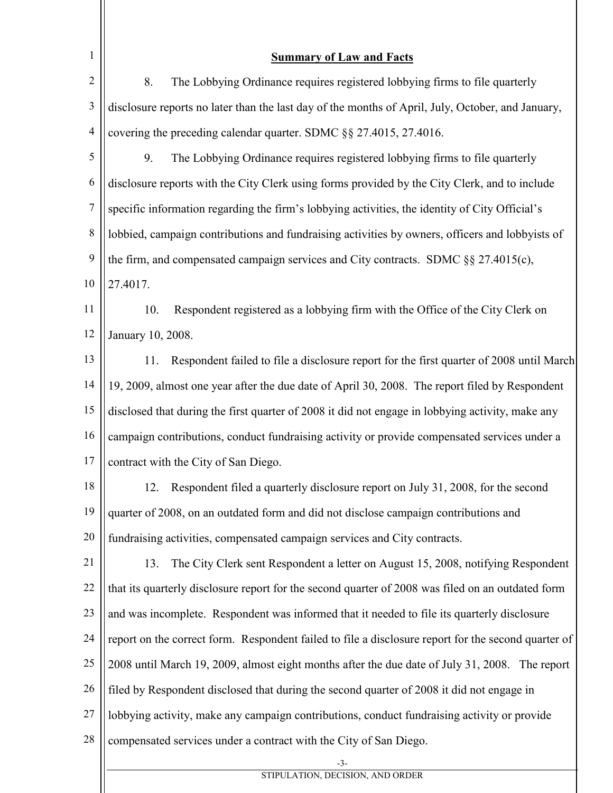| 1              | <b>Summary of Law and Facts</b>                                                                     |
|----------------|-----------------------------------------------------------------------------------------------------|
| $\overline{2}$ | 8.<br>The Lobbying Ordinance requires registered lobbying firms to file quarterly                   |
| $\mathfrak{Z}$ | disclosure reports no later than the last day of the months of April, July, October, and January,   |
| 4              | covering the preceding calendar quarter. SDMC §§ 27.4015, 27.4016.                                  |
| 5              | 9.<br>The Lobbying Ordinance requires registered lobbying firms to file quarterly                   |
| 6              | disclosure reports with the City Clerk using forms provided by the City Clerk, and to include       |
| $\overline{7}$ | specific information regarding the firm's lobbying activities, the identity of City Official's      |
| 8              | lobbied, campaign contributions and fundraising activities by owners, officers and lobbyists of     |
| 9              | the firm, and compensated campaign services and City contracts. SDMC §§ 27.4015(c),                 |
| 10             | 27.4017.                                                                                            |
| 11             | 10.<br>Respondent registered as a lobbying firm with the Office of the City Clerk on                |
| 12             | January 10, 2008.                                                                                   |
| 13             | Respondent failed to file a disclosure report for the first quarter of 2008 until March<br>11.      |
| 14             | 19, 2009, almost one year after the due date of April 30, 2008. The report filed by Respondent      |
| 15             | disclosed that during the first quarter of 2008 it did not engage in lobbying activity, make any    |
| 16             | campaign contributions, conduct fundraising activity or provide compensated services under a        |
| 17             | contract with the City of San Diego.                                                                |
| 18             | 12.<br>Respondent filed a quarterly disclosure report on July 31, 2008, for the second              |
| 19             | quarter of 2008, on an outdated form and did not disclose campaign contributions and                |
| 20             | fundraising activities, compensated campaign services and City contracts.                           |
| 21             | The City Clerk sent Respondent a letter on August 15, 2008, notifying Respondent<br>13.             |
| 22             | that its quarterly disclosure report for the second quarter of 2008 was filed on an outdated form   |
| 23             | and was incomplete. Respondent was informed that it needed to file its quarterly disclosure         |
| 24             | report on the correct form. Respondent failed to file a disclosure report for the second quarter of |
| 25             | 2008 until March 19, 2009, almost eight months after the due date of July 31, 2008. The report      |
| 26             | filed by Respondent disclosed that during the second quarter of 2008 it did not engage in           |
| 27             | lobbying activity, make any campaign contributions, conduct fundraising activity or provide         |
| 28             | compensated services under a contract with the City of San Diego.                                   |
|                | $-3-$<br>STIPULATION, DECISION, AND ORDER                                                           |

STIPULATION, DECISION, AND ORDER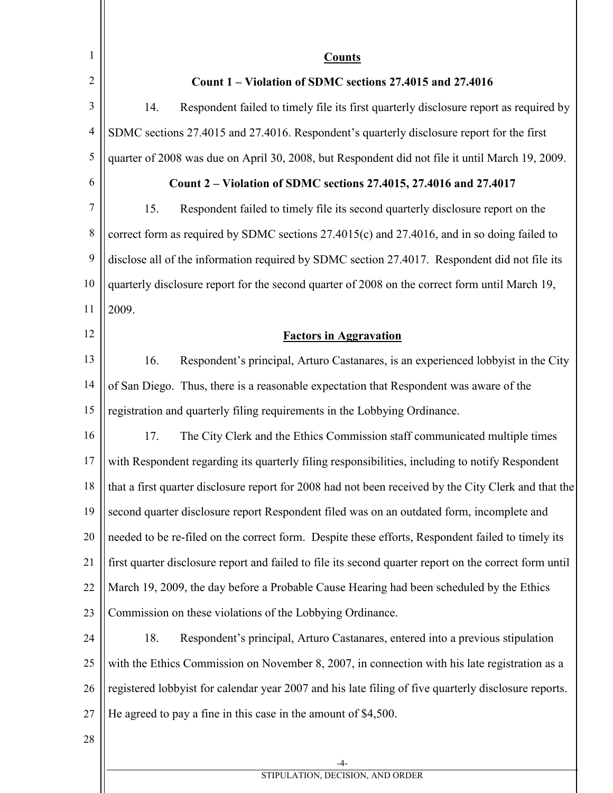| 1              | <b>Counts</b>                                                                                          |
|----------------|--------------------------------------------------------------------------------------------------------|
| $\overline{2}$ | Count 1 – Violation of SDMC sections 27.4015 and 27.4016                                               |
| 3              | Respondent failed to timely file its first quarterly disclosure report as required by<br>14.           |
| 4              | SDMC sections 27.4015 and 27.4016. Respondent's quarterly disclosure report for the first              |
| 5              | quarter of 2008 was due on April 30, 2008, but Respondent did not file it until March 19, 2009.        |
| 6              | Count 2 – Violation of SDMC sections 27.4015, 27.4016 and 27.4017                                      |
| 7              | 15.<br>Respondent failed to timely file its second quarterly disclosure report on the                  |
| 8              | correct form as required by SDMC sections 27.4015(c) and 27.4016, and in so doing failed to            |
| 9              | disclose all of the information required by SDMC section 27.4017. Respondent did not file its          |
| 10             | quarterly disclosure report for the second quarter of 2008 on the correct form until March 19,         |
| 11             | 2009.                                                                                                  |
| 12             | <b>Factors in Aggravation</b>                                                                          |
| 13             | Respondent's principal, Arturo Castanares, is an experienced lobbyist in the City<br>16.               |
| 14             | of San Diego. Thus, there is a reasonable expectation that Respondent was aware of the                 |
| 15             | registration and quarterly filing requirements in the Lobbying Ordinance.                              |
| 16             | 17.<br>The City Clerk and the Ethics Commission staff communicated multiple times                      |
| 17             | with Respondent regarding its quarterly filing responsibilities, including to notify Respondent        |
| 18             | that a first quarter disclosure report for 2008 had not been received by the City Clerk and that the   |
| 19             | second quarter disclosure report Respondent filed was on an outdated form, incomplete and              |
| 20             | needed to be re-filed on the correct form. Despite these efforts, Respondent failed to timely its      |
| 21             | first quarter disclosure report and failed to file its second quarter report on the correct form until |
| 22             | March 19, 2009, the day before a Probable Cause Hearing had been scheduled by the Ethics               |
| 23             | Commission on these violations of the Lobbying Ordinance.                                              |
| 24             | Respondent's principal, Arturo Castanares, entered into a previous stipulation<br>18.                  |
| 25             | with the Ethics Commission on November 8, 2007, in connection with his late registration as a          |
| 26             | registered lobbyist for calendar year 2007 and his late filing of five quarterly disclosure reports.   |
| 27             | He agreed to pay a fine in this case in the amount of \$4,500.                                         |
| 28             |                                                                                                        |
|                | -4-                                                                                                    |

STIPULATION, DECISION, AND ORDER